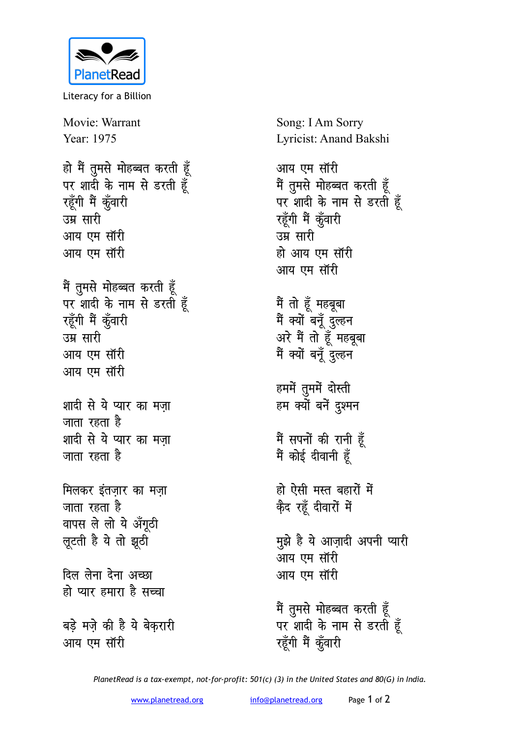

Literacy for a Billion

Movie: Warrant Year: 1975 हो मैं तुमसे मोहब्बत करती हूँ पर शादी के नाम से डरती हूँ रहूँगी मैं कूँवारी उम्र **सारी** आय एम सॉरी आय एम सॉरी **मैं तुमसे मोहब्बत करती हूँ** पर शादी के नाम से डरती हूँ रहूँगी मैं कूँवारी उम्र **सारी** आय एम सॉरी आय एम सॉरी शादी से ये प्यार का मज़ा जाता रहता है शादी से ये प्यार का मज़ा जाता रहता ह<del>ै</del> मिलकर इंतज़ार का मज़ा **जाता रहता है** वापस ले लो ये अँगूठी *लूटती* है ये तो झूठी <u>दिल लेना देना अच्छा</u> हो प्यार हमारा है सच्चा बड़े मज़े की है ये बेकरारी आय एम सॉरी

Song: I Am Sorry Lyricist: Anand Bakshi

आय एम सॉरी  $\ddot{\tilde{\mathsf{T}}}$  तुमसे मोहब्बत करती हूँ पर शादी के नाम से डरती हूँ रहूँगी मैं कूँवारी उम्र सारी हो आय एम सॉरी आय एम सॉरी

मैं तो हूँ महबूबा मैं क्यों बनूँ दुल्हन अरे मैं तो हूँ महबूबा <u>मैं क्यों बन्नें दुल्हन</u>

हममें तुममें दोस्ती हम क्यों बनें दुश्मन

मैं सपनों की रानी हूँ मैं कोई दीवानी ह<u>ै</u>ं

हो ऐसी मस्त बहारों में के**द रहूँ दीवारों** में

<u>म</u>ूझे है ये आज़ादी अपनी प्यारी आय एम सॉरी आय एम सॉरी

**मैं तुमसे मोहब्बत करती हूँ** पर शादी के नाम से डरती हूँ रहूँगी मैं कूँवारी

*PlanetRead is a tax-exempt, not-for-profit: 501(c) (3) in the United States and 80(G) in India.*